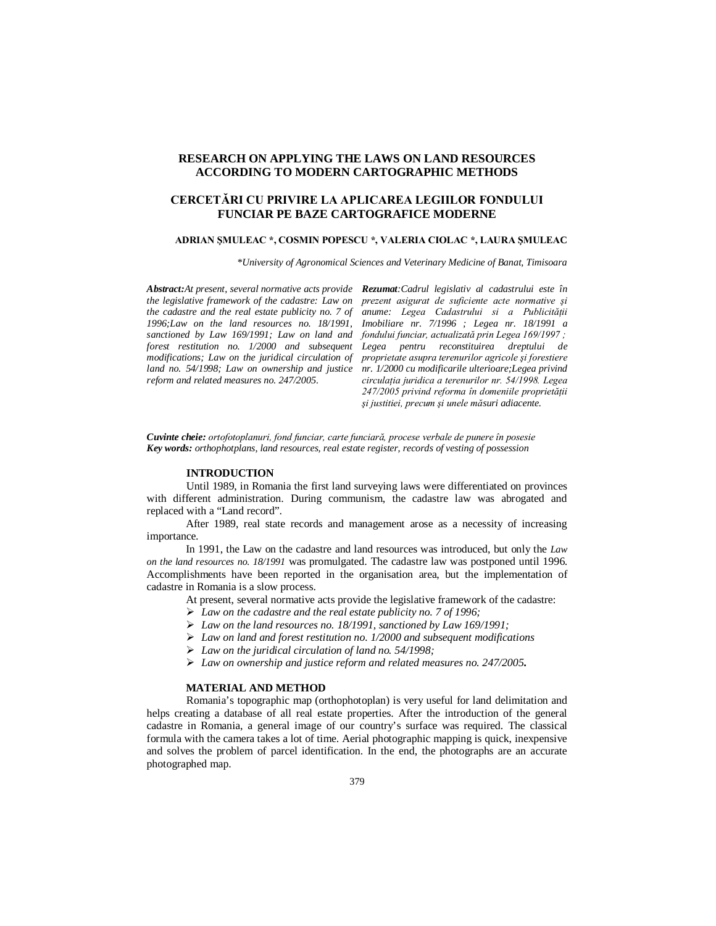# **RESEARCH ON APPLYING THE LAWS ON LAND RESOURCES ACCORDING TO MODERN CARTOGRAPHIC METHODS**

# **CERCETĂRI CU PRIVIRE LA APLICAREA LEGIILOR FONDULUI FUNCIAR PE BAZE CARTOGRAFICE MODERNE**

#### **ADRIAN ŞMULEAC \*, COSMIN POPESCU \*, VALERIA CIOLAC \*, LAURA ŞMULEAC**

*\*University of Agronomical Sciences and Veterinary Medicine of Banat, Timisoara*

*the cadastre and the real estate publicity no. 7 of sanctioned by Law 169/1991; Law on land and fondului funciar, actualizată prin Legea 169/1997 ; modifications; Law on the juridical circulation of reform and related measures no. 247/2005.*

*Abstract:At present, several normative acts provide Rezumat:Cadrul legislativ al cadastrului este în the legislative framework of the cadastre: Law on prezent asigurat de suficiente acte normative şi 1996;Law on the land resources no. 18/1991, Imobiliare nr. 7/1996 ; Legea nr. 18/1991 a forest restitution no. 1/2000 and subsequent Legea pentru reconstituirea dreptului de land no. 54/1998; Law on ownership and justice nr. 1/2000 cu modificarile ulterioare;Legea privind anume: Legea Cadastrului si a Publicităţii proprietate asupra terenurilor agricole şi forestiere circulaţia juridica a terenurilor nr. 54/1998. Legea 247/2005 privind reforma în domeniile proprietăţii şi justitiei, precum şi unele măsuri adiacente.*

*Cuvinte cheie: ortofotoplanuri, fond funciar, carte funciară, procese verbale de punere în posesie Key words: orthophotplans, land resources, real estate register, records of vesting of possession*

#### **INTRODUCTION**

Until 1989, in Romania the first land surveying laws were differentiated on provinces with different administration. During communism, the cadastre law was abrogated and replaced with a "Land record".

After 1989, real state records and management arose as a necessity of increasing importance.

In 1991, the Law on the cadastre and land resources was introduced, but only the *Law on the land resources no. 18/1991* was promulgated. The cadastre law was postponed until 1996. Accomplishments have been reported in the organisation area, but the implementation of cadastre in Romania is a slow process.

At present, several normative acts provide the legislative framework of the cadastre:

- *Law on the cadastre and the real estate publicity no. 7 of 1996;*
- *Law on the land resources no. 18/1991, sanctioned by Law 169/1991;*
- *Law on land and forest restitution no. 1/2000 and subsequent modifications*
- *Law on the juridical circulation of land no. 54/1998;*
- *Law on ownership and justice reform and related measures no. 247/2005.*

## **MATERIAL AND METHOD**

Romania's topographic map (orthophotoplan) is very useful for land delimitation and helps creating a database of all real estate properties. After the introduction of the general cadastre in Romania, a general image of our country's surface was required. The classical formula with the camera takes a lot of time. Aerial photographic mapping is quick, inexpensive and solves the problem of parcel identification. In the end, the photographs are an accurate photographed map.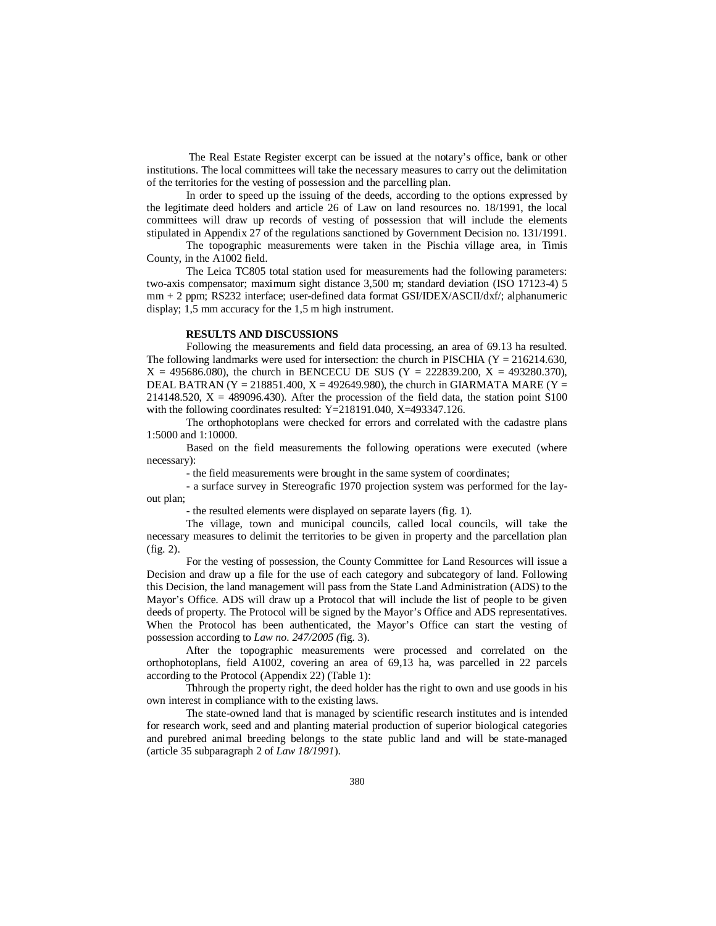The Real Estate Register excerpt can be issued at the notary's office, bank or other institutions. The local committees will take the necessary measures to carry out the delimitation of the territories for the vesting of possession and the parcelling plan.

In order to speed up the issuing of the deeds, according to the options expressed by the legitimate deed holders and article 26 of Law on land resources no. 18/1991, the local committees will draw up records of vesting of possession that will include the elements stipulated in Appendix 27 of the regulations sanctioned by Government Decision no. 131/1991.

The topographic measurements were taken in the Pischia village area, in Timis County, in the A1002 field.

The Leica TC805 total station used for measurements had the following parameters: two-axis compensator; maximum sight distance 3,500 m; standard deviation (ISO 17123-4) 5 mm + 2 ppm; RS232 interface; user-defined data format GSI/IDEX/ASCII/dxf/; alphanumeric display; 1,5 mm accuracy for the 1,5 m high instrument.

#### **RESULTS AND DISCUSSIONS**

Following the measurements and field data processing, an area of 69.13 ha resulted. The following landmarks were used for intersection: the church in PISCHIA ( $Y = 216214.630$ ,  $X = 495686.080$ , the church in BENCECU DE SUS (Y = 222839.200, X = 493280.370), DEAL BATRAN (Y = 218851.400, X = 492649.980), the church in GIARMATA MARE (Y = 214148.520,  $X = 489096.430$ . After the procession of the field data, the station point S100 with the following coordinates resulted: Y=218191.040, X=493347.126.

The orthophotoplans were checked for errors and correlated with the cadastre plans 1:5000 and 1:10000.

Based on the field measurements the following operations were executed (where necessary):

- the field measurements were brought in the same system of coordinates;

- a surface survey in Stereografic 1970 projection system was performed for the layout plan;

- the resulted elements were displayed on separate layers (fig. 1).

The village, town and municipal councils, called local councils, will take the necessary measures to delimit the territories to be given in property and the parcellation plan (fig. 2).

For the vesting of possession, the County Committee for Land Resources will issue a Decision and draw up a file for the use of each category and subcategory of land. Following this Decision, the land management will pass from the State Land Administration (ADS) to the Mayor's Office. ADS will draw up a Protocol that will include the list of people to be given deeds of property. The Protocol will be signed by the Mayor's Office and ADS representatives. When the Protocol has been authenticated, the Mayor's Office can start the vesting of possession according to *Law no. 247/2005 (*fig. 3).

After the topographic measurements were processed and correlated on the orthophotoplans, field A1002, covering an area of 69,13 ha, was parcelled in 22 parcels according to the Protocol (Appendix 22) (Table 1):

Thhrough the property right, the deed holder has the right to own and use goods in his own interest in compliance with to the existing laws.

The state-owned land that is managed by scientific research institutes and is intended for research work, seed and and planting material production of superior biological categories and purebred animal breeding belongs to the state public land and will be state-managed (article 35 subparagraph 2 of *Law 18/1991*).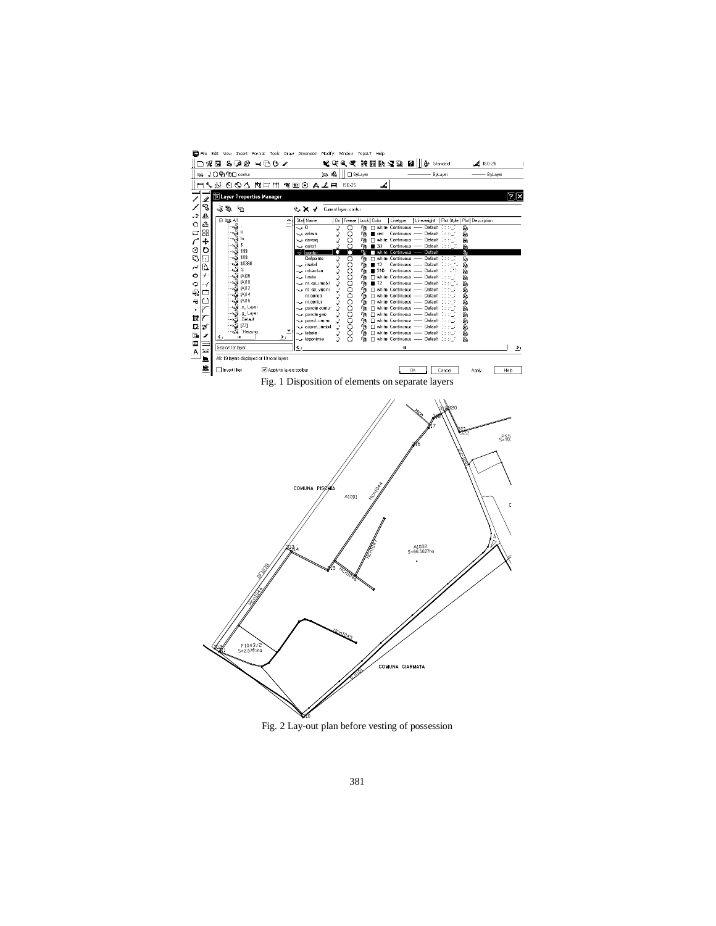

Fig. 2 Lay-out plan before vesting of possession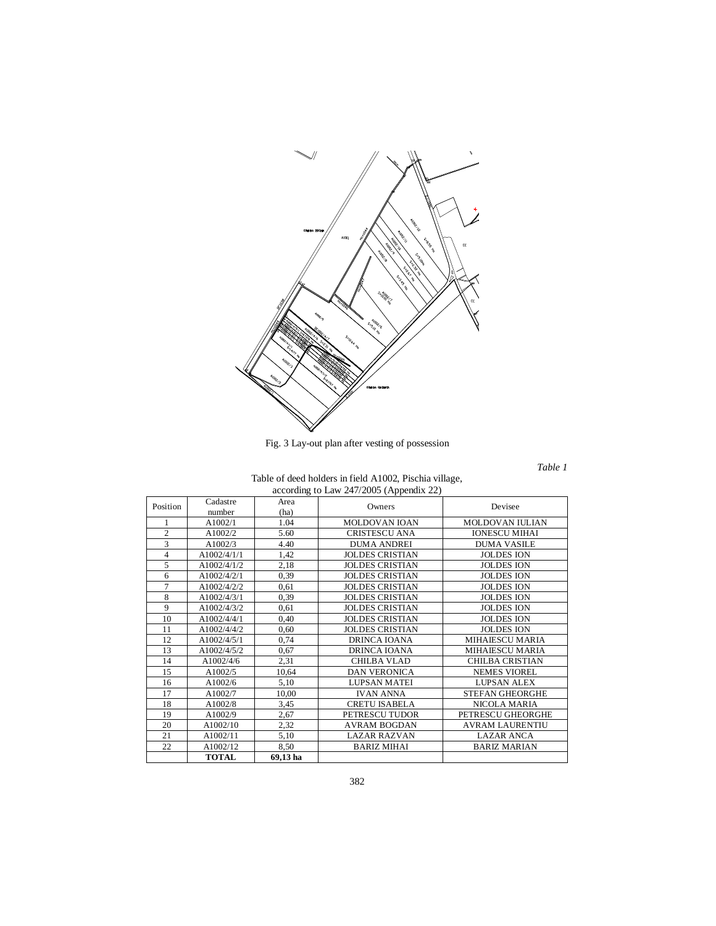

Fig. 3 Lay-out plan after vesting of possession

*Table 1*

| Table of deed holders in field A1002, Pischia village, |  |  |  |  |  |  |
|--------------------------------------------------------|--|--|--|--|--|--|
| according to Law 247/2005 (Appendix 22)                |  |  |  |  |  |  |
|                                                        |  |  |  |  |  |  |

|                | Cadastre     | Area     |                        |                        |  |
|----------------|--------------|----------|------------------------|------------------------|--|
| Position       | number       | (ha)     | Owners                 | Devisee                |  |
| 1              | A1002/1      | 1.04     | <b>MOLDOVAN IOAN</b>   | MOLDOVAN IULIAN        |  |
| $\overline{c}$ | A1002/2      | 5.60     | <b>CRISTESCU ANA</b>   | <b>IONESCU MIHAI</b>   |  |
| 3              | A1002/3      | 4.40     | <b>DUMA ANDREI</b>     | <b>DUMA VASILE</b>     |  |
| $\overline{4}$ | A1002/4/1/1  | 1,42     | <b>JOLDES CRISTIAN</b> | <b>JOLDES ION</b>      |  |
| 5              | A1002/4/1/2  | 2,18     | <b>JOLDES CRISTIAN</b> | <b>JOLDES ION</b>      |  |
| 6              | A1002/4/2/1  | 0.39     | <b>JOLDES CRISTIAN</b> | <b>JOLDES ION</b>      |  |
| 7              | A1002/4/2/2  | 0.61     | <b>JOLDES CRISTIAN</b> | <b>JOLDES ION</b>      |  |
| 8              | A1002/4/3/1  | 0.39     | <b>JOLDES CRISTIAN</b> | <b>JOLDES ION</b>      |  |
| 9              | A1002/4/3/2  | 0.61     | <b>JOLDES CRISTIAN</b> | <b>JOLDES ION</b>      |  |
| 10             | A1002/4/4/1  | 0,40     | <b>JOLDES CRISTIAN</b> | <b>JOLDES ION</b>      |  |
| 11             | A1002/4/4/2  | 0.60     | <b>JOLDES CRISTIAN</b> | <b>JOLDES ION</b>      |  |
| 12             | A1002/4/5/1  | 0,74     | DRINCA IOANA           | MIHAIESCU MARIA        |  |
| 13             | A1002/4/5/2  | 0.67     | <b>DRINCA IOANA</b>    | <b>MIHAIESCU MARIA</b> |  |
| 14             | A1002/4/6    | 2,31     | <b>CHILBA VLAD</b>     | CHILBA CRISTIAN        |  |
| 15             | A1002/5      | 10,64    | DAN VERONICA           | NEMES VIOREL           |  |
| 16             | A1002/6      | 5,10     | LUPSAN MATEI           | <b>LUPSAN ALEX</b>     |  |
| 17             | A1002/7      | 10,00    | <b>IVAN ANNA</b>       | <b>STEFAN GHEORGHE</b> |  |
| 18             | A1002/8      | 3.45     | CRETU ISABELA          | NICOLA MARIA           |  |
| 19             | A1002/9      | 2,67     | PETRESCU TUDOR         | PETRESCU GHEORGHE      |  |
| 20             | A1002/10     | 2,32     | <b>AVRAM BOGDAN</b>    | <b>AVRAM LAURENTIU</b> |  |
| 21             | A1002/11     | 5,10     | <b>LAZAR RAZVAN</b>    | <b>LAZAR ANCA</b>      |  |
| 22             | A1002/12     | 8,50     | <b>BARIZ MIHAI</b>     | <b>BARIZ MARIAN</b>    |  |
|                | <b>TOTAL</b> | 69,13 ha |                        |                        |  |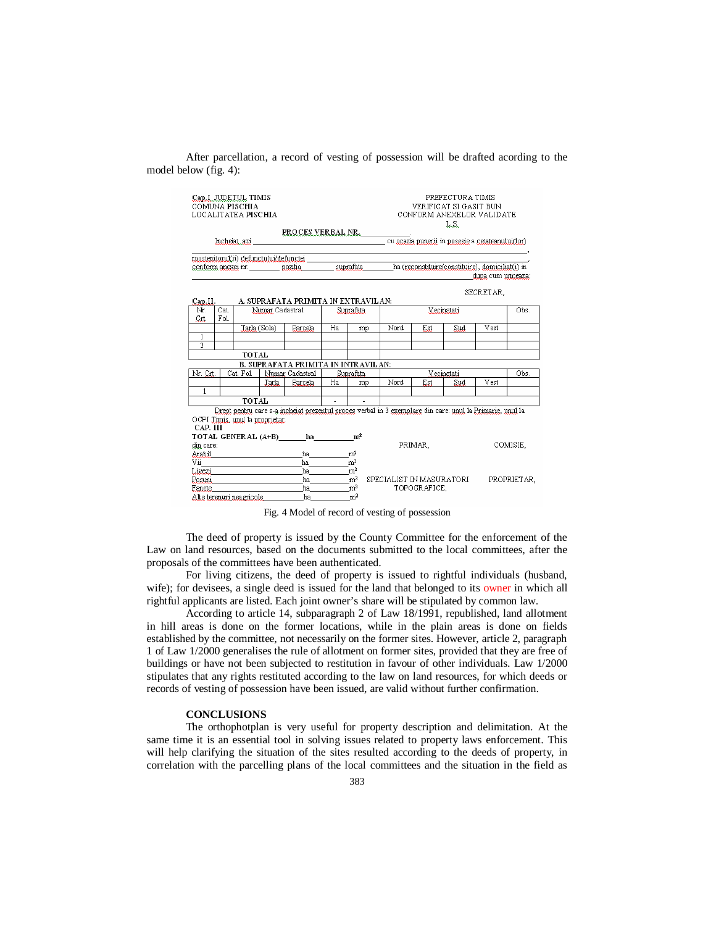After parcellation, a record of vesting of possession will be drafted acording to the model below (fig. 4):



Fig. 4 Model of record of vesting of possession

The deed of property is issued by the County Committee for the enforcement of the Law on land resources, based on the documents submitted to the local committees, after the proposals of the committees have been authenticated.

For living citizens, the deed of property is issued to rightful individuals (husband, wife); for devisees, a single deed is issued for the land that belonged to its owner in which all rightful applicants are listed. Each joint owner's share will be stipulated by common law.

According to article 14, subparagraph 2 of Law 18/1991, republished, land allotment in hill areas is done on the former locations, while in the plain areas is done on fields established by the committee, not necessarily on the former sites. However, article 2, paragraph 1 of Law 1/2000 generalises the rule of allotment on former sites, provided that they are free of buildings or have not been subjected to restitution in favour of other individuals. Law 1/2000 stipulates that any rights restituted according to the law on land resources, for which deeds or records of vesting of possession have been issued, are valid without further confirmation.

## **CONCLUSIONS**

The orthophotplan is very useful for property description and delimitation. At the same time it is an essential tool in solving issues related to property laws enforcement. This will help clarifying the situation of the sites resulted according to the deeds of property, in correlation with the parcelling plans of the local committees and the situation in the field as